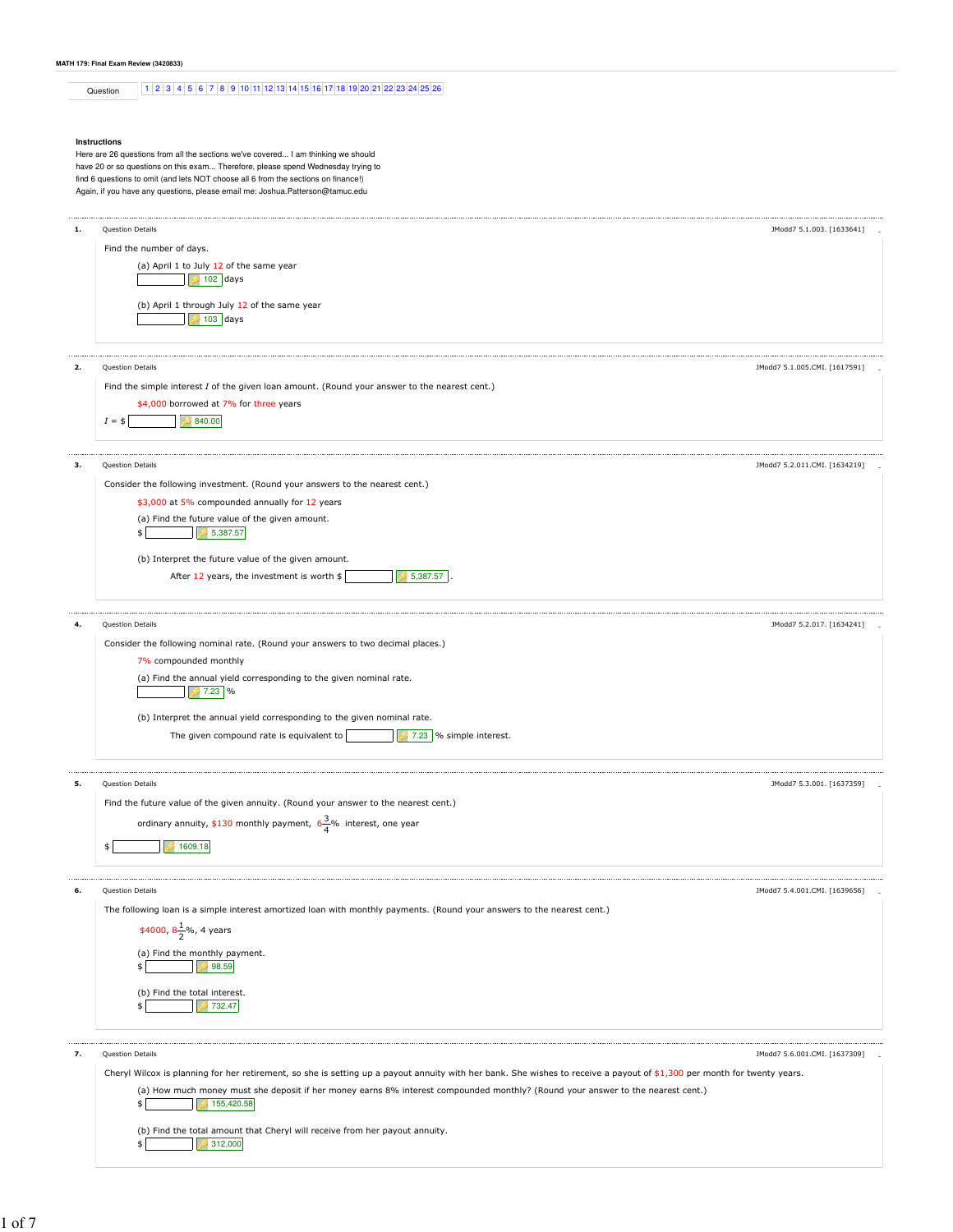# **MATH 179: Final Exam Review (3420833)**

Question 1 2 3 4 5 6 7 8 9 10 11 12 13 14 15 16 17 18 19 20 21 22 23 24 25 26

#### **Instructions**

Here are 26 questions from all the sections we've covered... I am thinking we should have 20 or so questions on this exam... Therefore, please spend Wednesday trying to find 6 questions to omit (and lets NOT choose all 6 from the sections on finance!) Again, if you have any questions, please email me: Joshua.Patterson@tamuc.edu

| 1. | Question Details                                                                                                                                                         | JModd7 5.1.003. [1633641]     |
|----|--------------------------------------------------------------------------------------------------------------------------------------------------------------------------|-------------------------------|
|    |                                                                                                                                                                          |                               |
|    | Find the number of days.                                                                                                                                                 |                               |
|    | (a) April 1 to July 12 of the same year                                                                                                                                  |                               |
|    | $102$ days                                                                                                                                                               |                               |
|    | (b) April 1 through July 12 of the same year                                                                                                                             |                               |
|    | $103$ days                                                                                                                                                               |                               |
|    |                                                                                                                                                                          |                               |
|    |                                                                                                                                                                          |                               |
| 2. | Question Details                                                                                                                                                         | JModd7 5.1.005.CMI. [1617591] |
|    | Find the simple interest I of the given loan amount. (Round your answer to the nearest cent.)                                                                            |                               |
|    | \$4,000 borrowed at 7% for three years                                                                                                                                   |                               |
|    | $I = $$<br>840.00                                                                                                                                                        |                               |
|    |                                                                                                                                                                          |                               |
| з. | Question Details                                                                                                                                                         | JModd7 5.2.011.CMI. [1634219] |
|    |                                                                                                                                                                          |                               |
|    | Consider the following investment. (Round your answers to the nearest cent.)                                                                                             |                               |
|    | \$3,000 at 5% compounded annually for 12 years                                                                                                                           |                               |
|    | (a) Find the future value of the given amount.                                                                                                                           |                               |
|    | 5,387.57                                                                                                                                                                 |                               |
|    | (b) Interpret the future value of the given amount.                                                                                                                      |                               |
|    | After 12 years, the investment is worth \$<br>5,387.57                                                                                                                   |                               |
|    |                                                                                                                                                                          |                               |
|    |                                                                                                                                                                          |                               |
|    | Question Details                                                                                                                                                         | JModd7 5.2.017. [1634241]     |
|    | Consider the following nominal rate. (Round your answers to two decimal places.)                                                                                         |                               |
|    | 7% compounded monthly                                                                                                                                                    |                               |
|    | (a) Find the annual yield corresponding to the given nominal rate.                                                                                                       |                               |
|    | $27.23$ %                                                                                                                                                                |                               |
|    |                                                                                                                                                                          |                               |
|    | (b) Interpret the annual yield corresponding to the given nominal rate.                                                                                                  |                               |
|    | The given compound rate is equivalent to<br>$27.23$ % simple interest.                                                                                                   |                               |
|    |                                                                                                                                                                          |                               |
| 5. | Question Details                                                                                                                                                         | JModd7 5.3.001. [1637359]     |
|    | Find the future value of the given annuity. (Round your answer to the nearest cent.)                                                                                     |                               |
|    | ordinary annuity, \$130 monthly payment, $6\frac{3}{4}$ % interest, one year                                                                                             |                               |
|    |                                                                                                                                                                          |                               |
|    | 1609.18<br>\$                                                                                                                                                            |                               |
|    |                                                                                                                                                                          |                               |
| 6. | Question Details                                                                                                                                                         | JModd7 5.4.001.CMI. [1639656] |
|    | The following loan is a simple interest amortized loan with monthly payments. (Round your answers to the nearest cent.)                                                  |                               |
|    |                                                                                                                                                                          |                               |
|    | \$4000, $8\frac{1}{2}\%$ , 4 years                                                                                                                                       |                               |
|    | (a) Find the monthly payment.                                                                                                                                            |                               |
|    | 98.59                                                                                                                                                                    |                               |
|    | (b) Find the total interest.                                                                                                                                             |                               |
|    | 732.47<br>\$                                                                                                                                                             |                               |
|    |                                                                                                                                                                          |                               |
|    |                                                                                                                                                                          |                               |
| 7. | Question Details                                                                                                                                                         | JModd7 5.6.001.CMI. [1637309] |
|    | Cheryl Wilcox is planning for her retirement, so she is setting up a payout annuity with her bank. She wishes to receive a payout of \$1,300 per month for twenty years. |                               |
|    | (a) How much money must she deposit if her money earns 8% interest compounded monthly? (Round your answer to the nearest cent.)                                          |                               |
|    | 155,420.58<br>\$                                                                                                                                                         |                               |
|    | (b) Find the total amount that Cheryl will receive from her payout annuity.                                                                                              |                               |
|    | 312,000                                                                                                                                                                  |                               |
|    |                                                                                                                                                                          |                               |
|    |                                                                                                                                                                          |                               |

1 of 7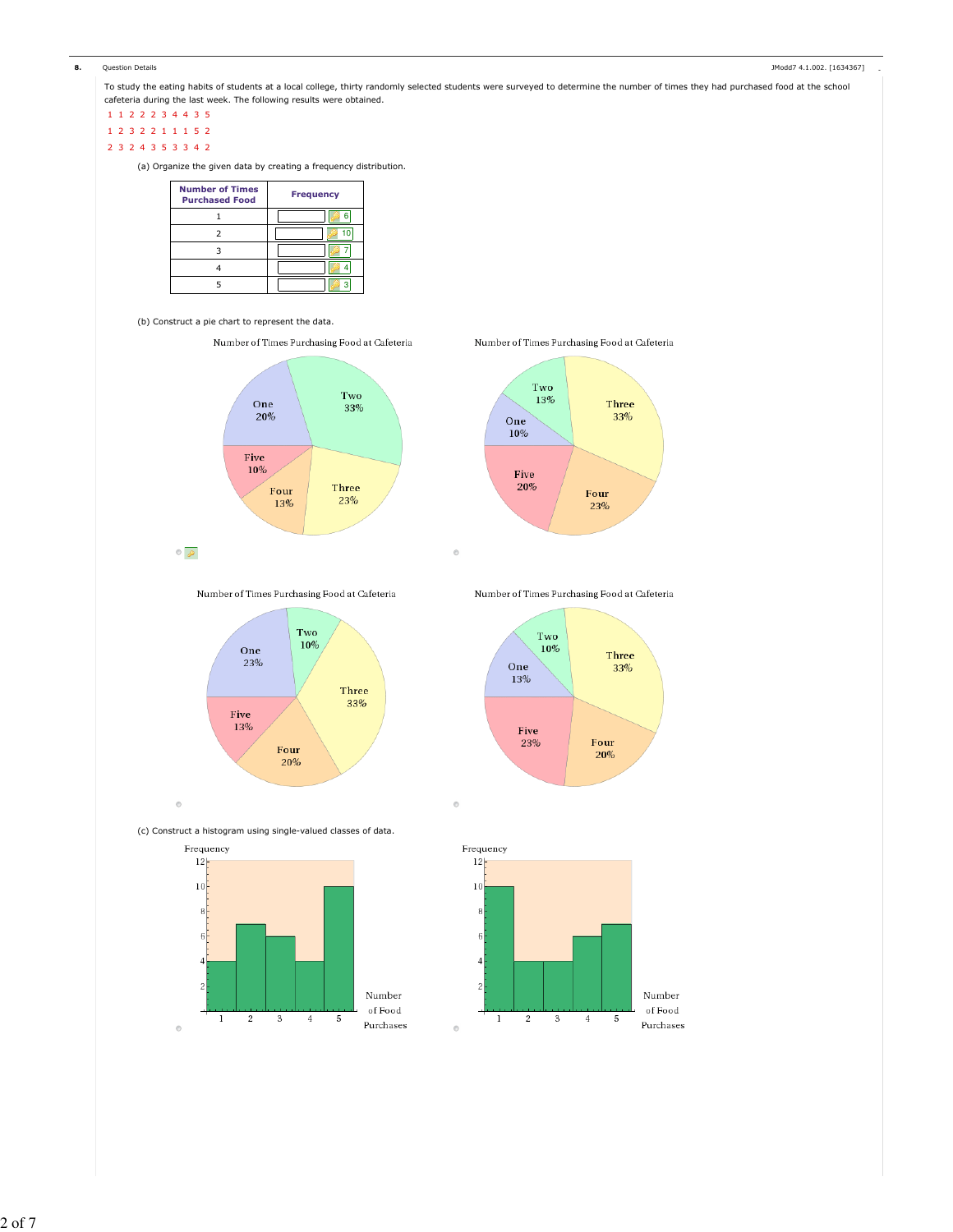

To study the eating habits of students at a local college, thirty randomly selected students were surveyed to determine the number of times they had purchased food at the school cafeteria during the last week. The following results were obtained.

1 1 2 2 2 3 4 4 3 5

1 2 3 2 2 1 1 1 5 2

2 3 2 4 3 5 3 3 4 2

(a) Organize the given data by creating a frequency distribution.

| <b>Number of Times</b><br><b>Purchased Food</b> | <b>Frequency</b> |
|-------------------------------------------------|------------------|
|                                                 |                  |
|                                                 |                  |
|                                                 |                  |
|                                                 |                  |
|                                                 |                  |

# (b) Construct a pie chart to represent the data.

 $\circ \circ$ 





Number of Times Purchasing Food at Cafeteria



Number of Times Purchasing Food at Cafeteria



(c) Construct a histogram using single-valued classes of data.



Number of Times Purchasing Food at Cafeteria





 $\odot$ 

 $\circ$ 

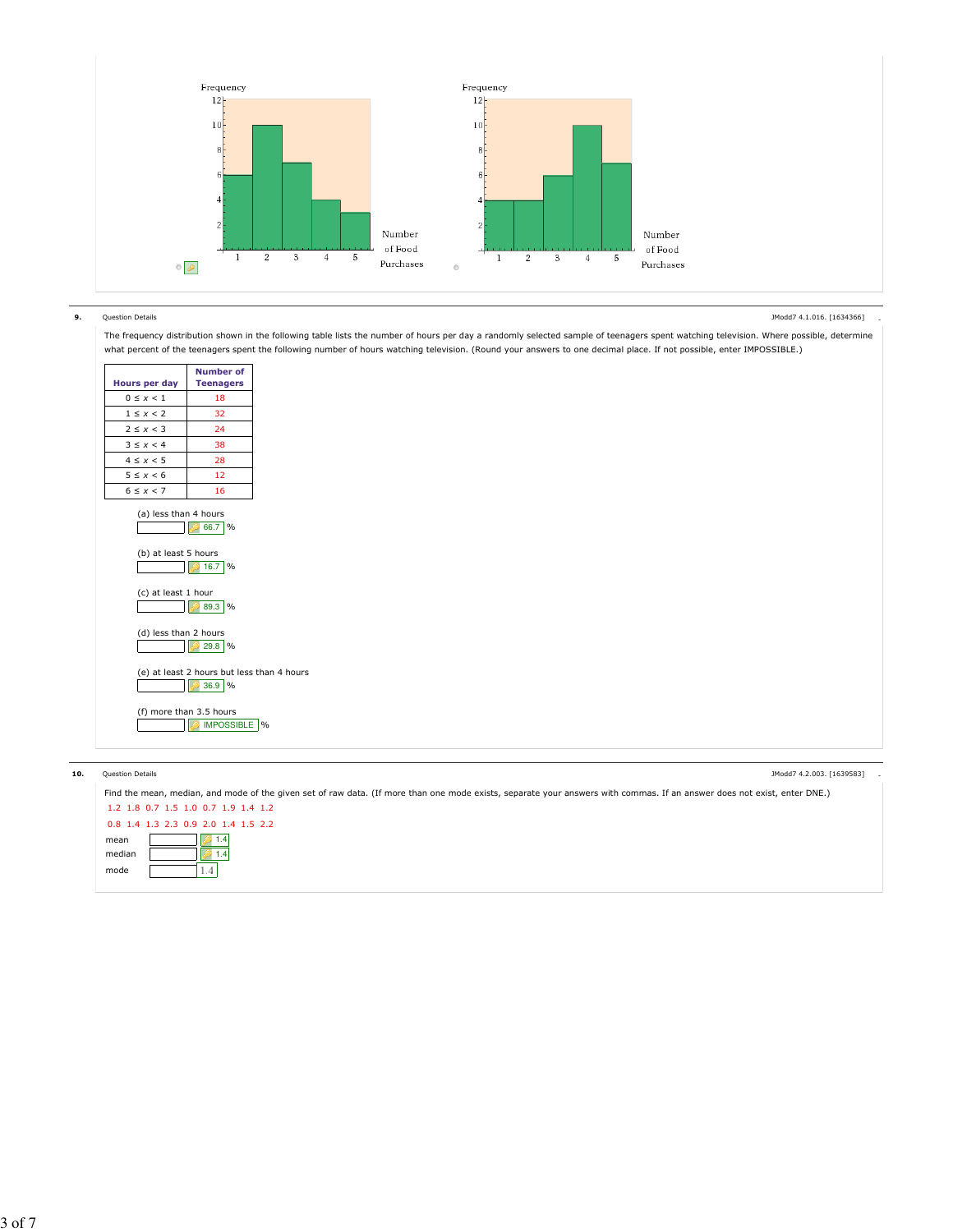

### 9. Question Details - JModd7 4.1.016. [1634366]

 $\mathbf{r}$ 

The frequency distribution shown in the following table lists the number of hours per day a randomly selected sample of teenagers spent watching television. Where possible, determine what percent of the teenagers spent the following number of hours watching television. (Round your answers to one decimal place. If not possible, enter IMPOSSIBLE.)

| Hours per day                                 | Number of<br><b>Teenagers</b>                          |  |
|-----------------------------------------------|--------------------------------------------------------|--|
| $0 \leq x < 1$                                | 18                                                     |  |
| $1 \leq x < 2$                                | 32                                                     |  |
| $2 \leq x < 3$                                | 24                                                     |  |
| $3 \leq x < 4$                                | 38                                                     |  |
| $4 \leq x < 5$                                | 28                                                     |  |
| $5 \leq x < 6$                                | 12                                                     |  |
| $6 \leq x < 7$                                | 16                                                     |  |
| (a) less than 4 hours<br>(b) at least 5 hours | 66.7<br>9/6<br>16.7 %                                  |  |
| (c) at least 1 hour                           | $\frac{9}{6}$<br>89.3                                  |  |
| (d) less than 2 hours                         | 29.8 %                                                 |  |
|                                               | (e) at least 2 hours but less than 4 hours<br>$36.9$ % |  |
|                                               | (f) more than 3.5 hours<br>IMPOSSIBLE %                |  |

÷,

### extion Details and the set of the set of the set of the set of the set of the set of the set of the set of the set of the set of the set of the set of the set of the set of the set of the set of the set of the set of the s

JModd7 4.2.003. [1639583]

| Find the mean, median, and mode of the given set of raw data. (If more than one mode exists, separate your answers with commas. If an answer does not exist, enter DNE.) |
|--------------------------------------------------------------------------------------------------------------------------------------------------------------------------|
| 1.2 1.8 0.7 1.5 1.0 0.7 1.9 1.4 1.2                                                                                                                                      |
| 0.8 1.4 1.3 2.3 0.9 2.0 1.4 1.5 2.2                                                                                                                                      |
| 1.4<br>mean                                                                                                                                                              |
| median                                                                                                                                                                   |
| mode                                                                                                                                                                     |
|                                                                                                                                                                          |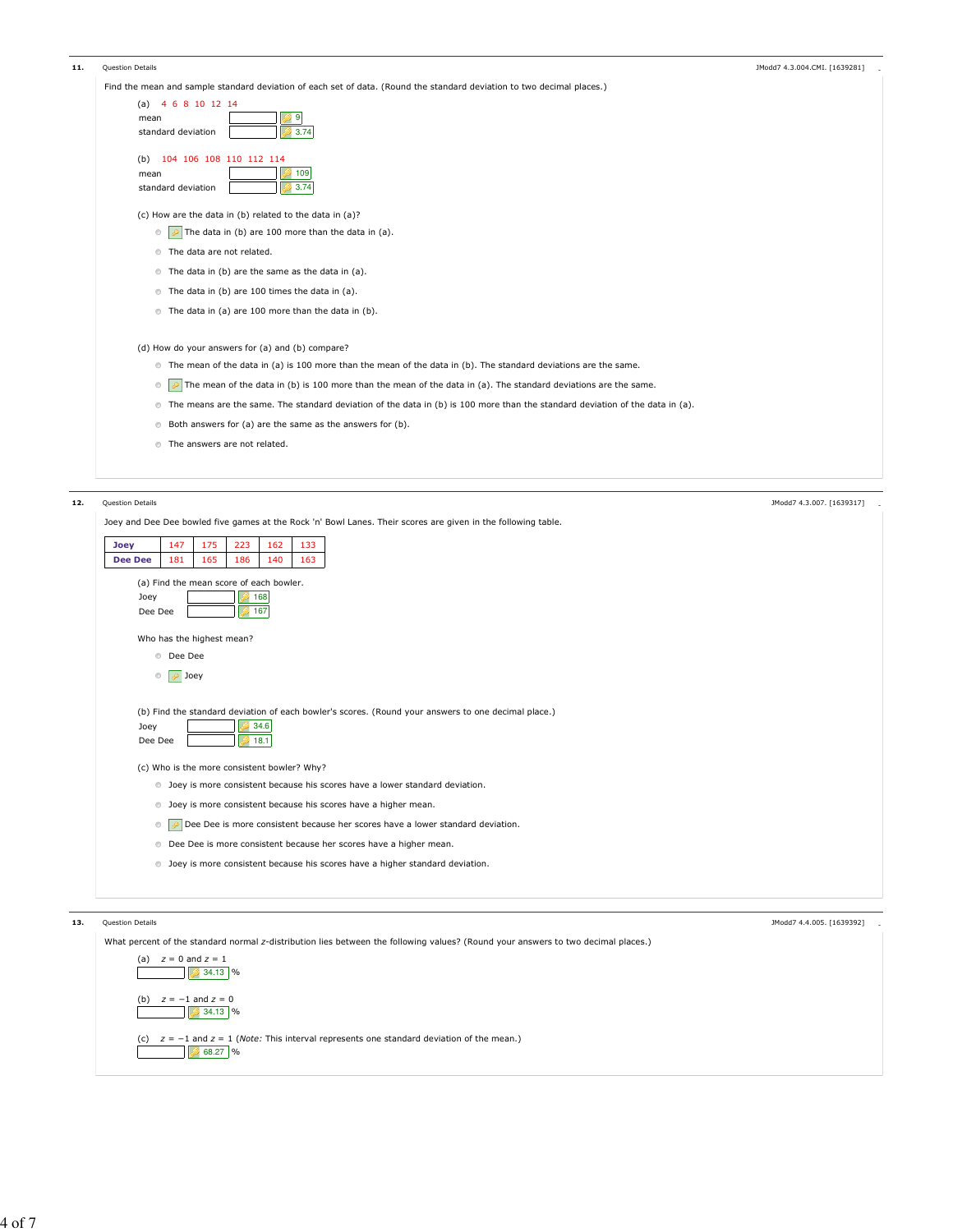| 11. | <b>Question Details</b>                                                                                                                  | JModd7 4.3.004.CMI. [1639281] |
|-----|------------------------------------------------------------------------------------------------------------------------------------------|-------------------------------|
|     | Find the mean and sample standard deviation of each set of data. (Round the standard deviation to two decimal places.)                   |                               |
|     | 4 6 8 10 12 14<br>(a)                                                                                                                    |                               |
|     | 9<br>mean                                                                                                                                |                               |
|     | 3.74<br>standard deviation                                                                                                               |                               |
|     | 104 106 108 110 112 114<br>(b)                                                                                                           |                               |
|     | 109<br>mean                                                                                                                              |                               |
|     | 3.74<br>standard deviation                                                                                                               |                               |
|     | (c) How are the data in (b) related to the data in (a)?                                                                                  |                               |
|     | $\triangleright$ The data in (b) are 100 more than the data in (a).<br>$_{\odot}$                                                        |                               |
|     | The data are not related.                                                                                                                |                               |
|     | The data in (b) are the same as the data in (a).                                                                                         |                               |
|     | The data in (b) are 100 times the data in (a).                                                                                           |                               |
|     | The data in (a) are 100 more than the data in (b).                                                                                       |                               |
|     | (d) How do your answers for (a) and (b) compare?                                                                                         |                               |
|     | The mean of the data in (a) is 100 more than the mean of the data in (b). The standard deviations are the same.                          |                               |
|     | The mean of the data in (b) is 100 more than the mean of the data in (a). The standard deviations are the same.<br>$_{\odot}$            |                               |
|     | The means are the same. The standard deviation of the data in (b) is 100 more than the standard deviation of the data in (a).<br>$\circ$ |                               |
|     | Both answers for (a) are the same as the answers for (b).<br>$\circ$                                                                     |                               |
|     | <b>The answers are not related.</b>                                                                                                      |                               |
|     |                                                                                                                                          |                               |
|     |                                                                                                                                          |                               |
| 12. | <b>Ouestion Details</b>                                                                                                                  | JModd7 4.3.007. [1639317]     |
|     | Joey and Dee Dee bowled five games at the Rock 'n' Bowl Lanes. Their scores are given in the following table.                            |                               |

| Joey             | 147                                         | 175 | 223  | 162  | 133                                                                                                 |  |  |  |  |  |  |                           |  |
|------------------|---------------------------------------------|-----|------|------|-----------------------------------------------------------------------------------------------------|--|--|--|--|--|--|---------------------------|--|
| <b>Dee Dee</b>   | 181                                         | 165 | 186  | 140  | 163                                                                                                 |  |  |  |  |  |  |                           |  |
|                  | (a) Find the mean score of each bowler.     |     |      |      |                                                                                                     |  |  |  |  |  |  |                           |  |
| Joey             |                                             |     |      | 168  |                                                                                                     |  |  |  |  |  |  |                           |  |
| Dee Dee          |                                             |     | 167  |      |                                                                                                     |  |  |  |  |  |  |                           |  |
|                  |                                             |     |      |      |                                                                                                     |  |  |  |  |  |  |                           |  |
|                  | Who has the highest mean?                   |     |      |      |                                                                                                     |  |  |  |  |  |  |                           |  |
|                  | <b>Dee Dee</b>                              |     |      |      |                                                                                                     |  |  |  |  |  |  |                           |  |
|                  | <b>D</b> Joey<br>$\odot$                    |     |      |      |                                                                                                     |  |  |  |  |  |  |                           |  |
|                  |                                             |     |      |      |                                                                                                     |  |  |  |  |  |  |                           |  |
|                  |                                             |     |      |      | (b) Find the standard deviation of each bowler's scores. (Round your answers to one decimal place.) |  |  |  |  |  |  |                           |  |
| Joey             |                                             |     |      | 34.6 |                                                                                                     |  |  |  |  |  |  |                           |  |
| Dee Dee          |                                             |     | 18.1 |      |                                                                                                     |  |  |  |  |  |  |                           |  |
|                  | (c) Who is the more consistent bowler? Why? |     |      |      |                                                                                                     |  |  |  |  |  |  |                           |  |
|                  |                                             |     |      |      | lect Joey is more consistent because his scores have a lower standard deviation.                    |  |  |  |  |  |  |                           |  |
|                  |                                             |     |      |      |                                                                                                     |  |  |  |  |  |  |                           |  |
|                  |                                             |     |      |      |                                                                                                     |  |  |  |  |  |  |                           |  |
|                  |                                             |     |      |      | <b>D</b> Joey is more consistent because his scores have a higher mean.                             |  |  |  |  |  |  |                           |  |
|                  | $\circ$                                     |     |      |      | Dee Dee is more consistent because her scores have a lower standard deviation.                      |  |  |  |  |  |  |                           |  |
|                  |                                             |     |      |      | <b>Dee Dee is more consistent because her scores have a higher mean.</b>                            |  |  |  |  |  |  |                           |  |
|                  |                                             |     |      |      |                                                                                                     |  |  |  |  |  |  |                           |  |
|                  |                                             |     |      |      | loey is more consistent because his scores have a higher standard deviation.                        |  |  |  |  |  |  |                           |  |
|                  |                                             |     |      |      |                                                                                                     |  |  |  |  |  |  |                           |  |
|                  |                                             |     |      |      |                                                                                                     |  |  |  |  |  |  |                           |  |
| Question Details |                                             |     |      |      |                                                                                                     |  |  |  |  |  |  | JModd7 4.4.005. [1639392] |  |

| What percent of the standard normal z-distribution lies between the following values? (Round your answers to two decimal places.) |
|-----------------------------------------------------------------------------------------------------------------------------------|
| $z = 0$ and $z = 1$<br>(a)<br>$34.13$ %                                                                                           |
| (b) $z = -1$ and $z = 0$<br>$34.13$ %                                                                                             |
| (c) $z = -1$ and $z = 1$ ( <i>Note:</i> This interval represents one standard deviation of the mean.)<br>68.27 %                  |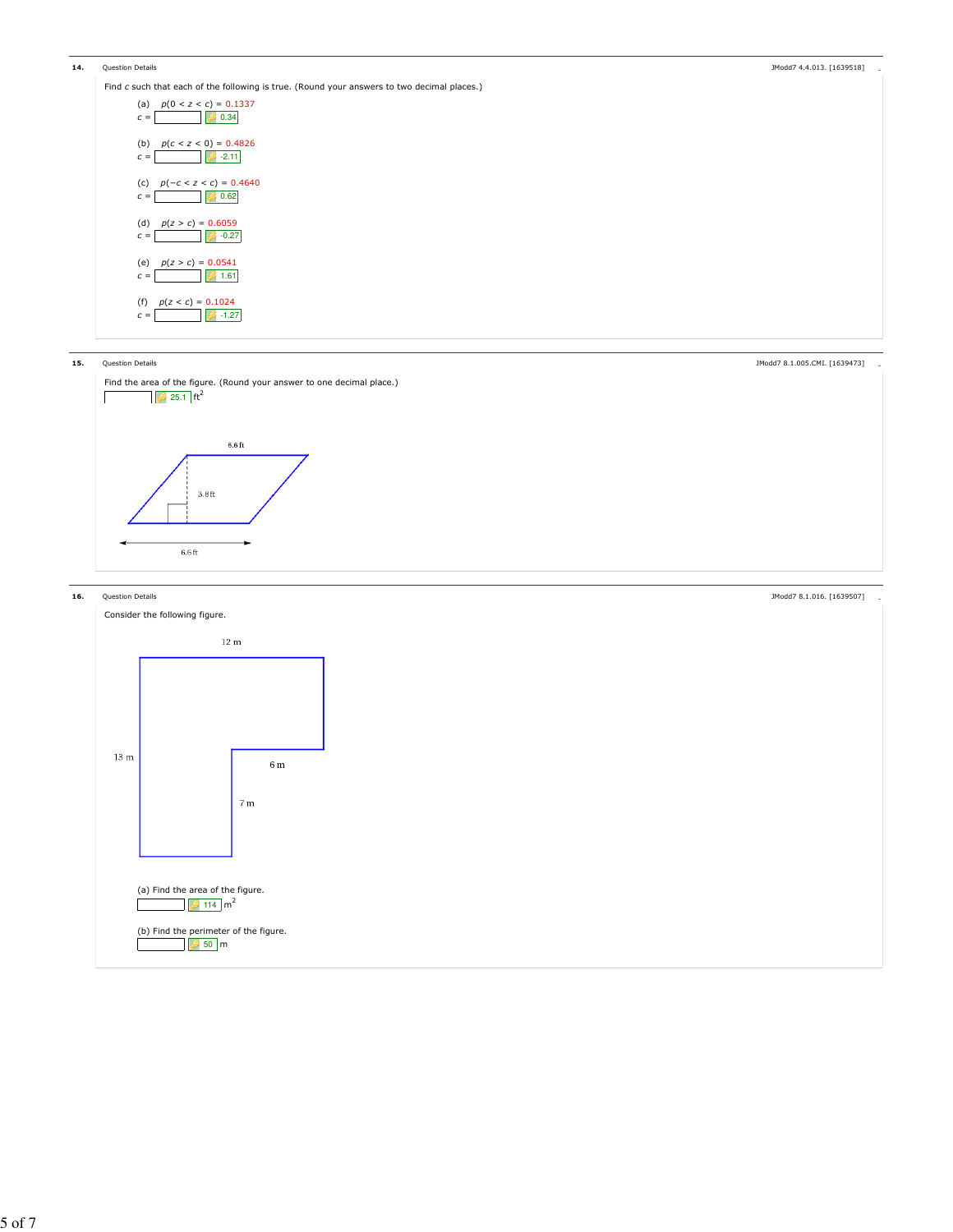| 14. | Question Details                                                                            | JModd7 4.4.013. [1639518] |  |
|-----|---------------------------------------------------------------------------------------------|---------------------------|--|
|     | Find c such that each of the following is true. (Round your answers to two decimal places.) |                           |  |
|     | $p(0 < z < c) = 0.1337$<br>(a)<br>0.34<br>$\mathcal{C}$ =                                   |                           |  |
|     | (b) $p(c < z < 0) = 0.4826$<br>$-2.11$<br>$c =$                                             |                           |  |

(c)  $p(-c < z < c) = 0.4640$  $c = 0.62$ (d)  $p(z > c) = 0.6059$  $c =$   $\downarrow$  -0.27 (e)  $p(z > c) = 0.0541$  $c =$  1.61 (f)  $p(z < c) = 0.1024$  $c =$  -1.27

### 15.





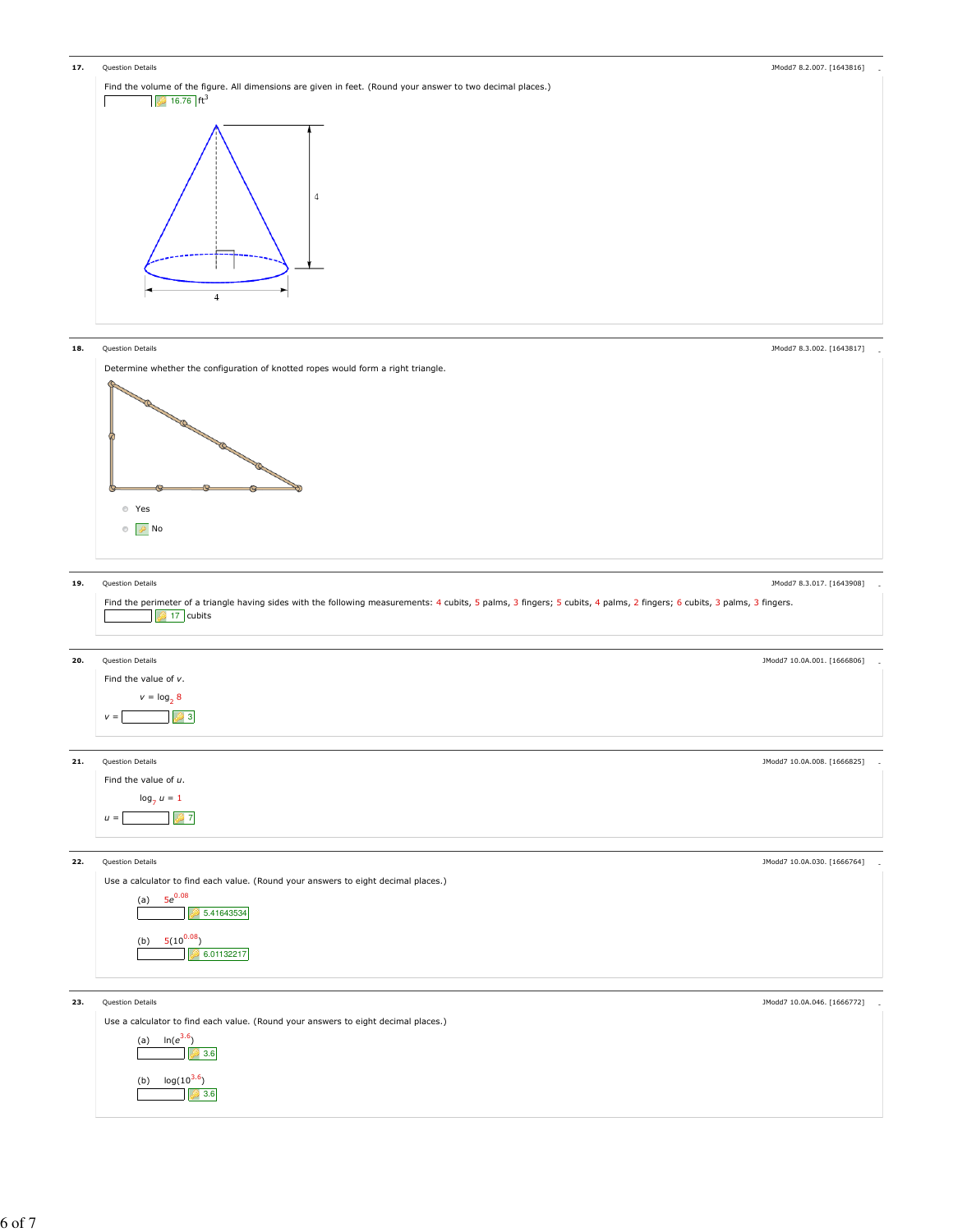